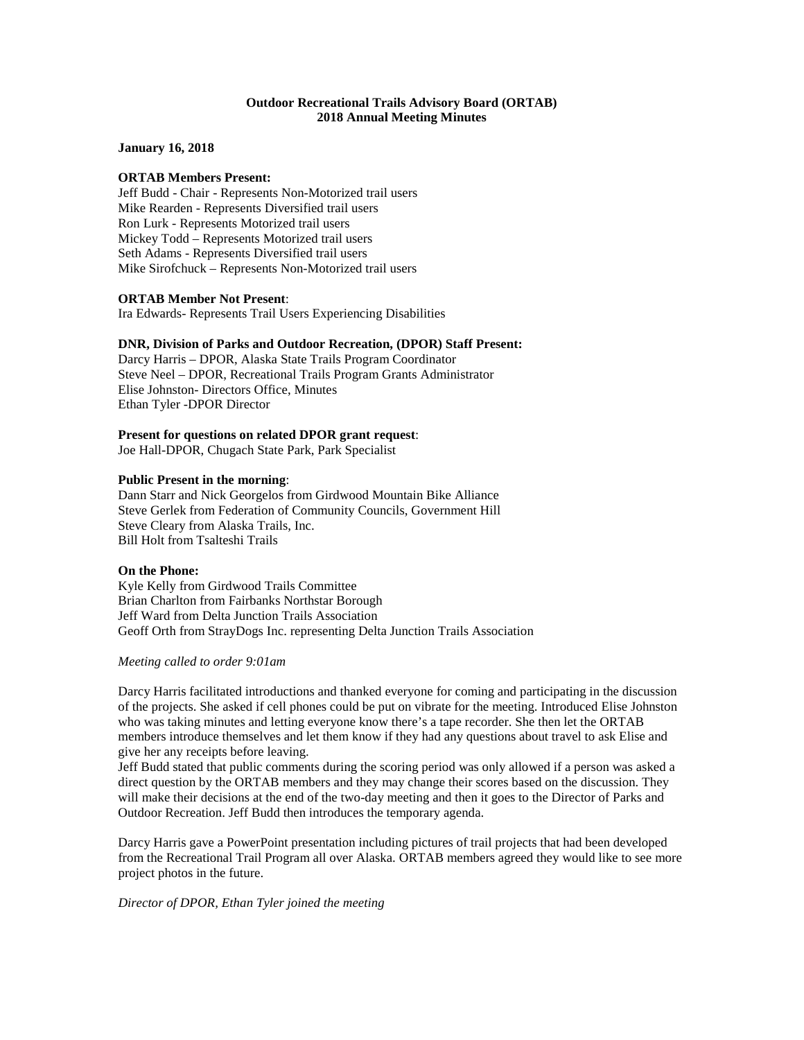## **Outdoor Recreational Trails Advisory Board (ORTAB) 2018 Annual Meeting Minutes**

**January 16, 2018**

## **ORTAB Members Present:**

Jeff Budd - Chair - Represents Non-Motorized trail users Mike Rearden - Represents Diversified trail users Ron Lurk - Represents Motorized trail users Mickey Todd – Represents Motorized trail users Seth Adams - Represents Diversified trail users Mike Sirofchuck – Represents Non-Motorized trail users

### **ORTAB Member Not Present**:

Ira Edwards- Represents Trail Users Experiencing Disabilities

## **DNR, Division of Parks and Outdoor Recreation, (DPOR) Staff Present:**

Darcy Harris – DPOR, Alaska State Trails Program Coordinator Steve Neel – DPOR, Recreational Trails Program Grants Administrator Elise Johnston- Directors Office, Minutes Ethan Tyler -DPOR Director

## **Present for questions on related DPOR grant request**:

Joe Hall-DPOR, Chugach State Park, Park Specialist

### **Public Present in the morning**:

Dann Starr and Nick Georgelos from Girdwood Mountain Bike Alliance Steve Gerlek from Federation of Community Councils, Government Hill Steve Cleary from Alaska Trails, Inc. Bill Holt from Tsalteshi Trails

## **On the Phone:**

Kyle Kelly from Girdwood Trails Committee Brian Charlton from Fairbanks Northstar Borough Jeff Ward from Delta Junction Trails Association Geoff Orth from StrayDogs Inc. representing Delta Junction Trails Association

#### *Meeting called to order 9:01am*

Darcy Harris facilitated introductions and thanked everyone for coming and participating in the discussion of the projects. She asked if cell phones could be put on vibrate for the meeting. Introduced Elise Johnston who was taking minutes and letting everyone know there's a tape recorder. She then let the ORTAB members introduce themselves and let them know if they had any questions about travel to ask Elise and give her any receipts before leaving.

Jeff Budd stated that public comments during the scoring period was only allowed if a person was asked a direct question by the ORTAB members and they may change their scores based on the discussion. They will make their decisions at the end of the two-day meeting and then it goes to the Director of Parks and Outdoor Recreation. Jeff Budd then introduces the temporary agenda.

Darcy Harris gave a PowerPoint presentation including pictures of trail projects that had been developed from the Recreational Trail Program all over Alaska. ORTAB members agreed they would like to see more project photos in the future.

# *Director of DPOR, Ethan Tyler joined the meeting*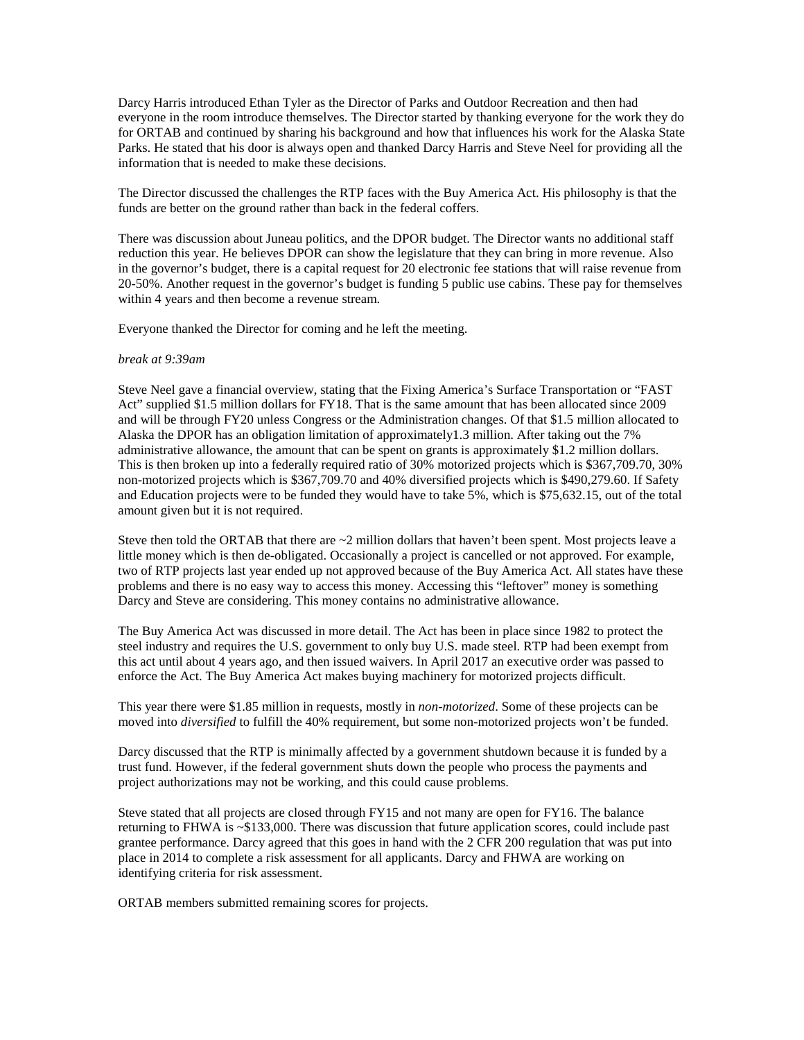Darcy Harris introduced Ethan Tyler as the Director of Parks and Outdoor Recreation and then had everyone in the room introduce themselves. The Director started by thanking everyone for the work they do for ORTAB and continued by sharing his background and how that influences his work for the Alaska State Parks. He stated that his door is always open and thanked Darcy Harris and Steve Neel for providing all the information that is needed to make these decisions.

The Director discussed the challenges the RTP faces with the Buy America Act. His philosophy is that the funds are better on the ground rather than back in the federal coffers.

There was discussion about Juneau politics, and the DPOR budget. The Director wants no additional staff reduction this year. He believes DPOR can show the legislature that they can bring in more revenue. Also in the governor's budget, there is a capital request for 20 electronic fee stations that will raise revenue from 20-50%. Another request in the governor's budget is funding 5 public use cabins. These pay for themselves within 4 years and then become a revenue stream.

Everyone thanked the Director for coming and he left the meeting.

### *break at 9:39am*

Steve Neel gave a financial overview, stating that the Fixing America's Surface Transportation or "FAST Act" supplied \$1.5 million dollars for FY18. That is the same amount that has been allocated since 2009 and will be through FY20 unless Congress or the Administration changes. Of that \$1.5 million allocated to Alaska the DPOR has an obligation limitation of approximately1.3 million. After taking out the 7% administrative allowance, the amount that can be spent on grants is approximately \$1.2 million dollars. This is then broken up into a federally required ratio of 30% motorized projects which is \$367,709.70, 30% non-motorized projects which is \$367,709.70 and 40% diversified projects which is \$490,279.60. If Safety and Education projects were to be funded they would have to take 5%, which is \$75,632.15, out of the total amount given but it is not required.

Steve then told the ORTAB that there are  $\sim$ 2 million dollars that haven't been spent. Most projects leave a little money which is then de-obligated. Occasionally a project is cancelled or not approved. For example, two of RTP projects last year ended up not approved because of the Buy America Act. All states have these problems and there is no easy way to access this money. Accessing this "leftover" money is something Darcy and Steve are considering. This money contains no administrative allowance.

The Buy America Act was discussed in more detail. The Act has been in place since 1982 to protect the steel industry and requires the U.S. government to only buy U.S. made steel. RTP had been exempt from this act until about 4 years ago, and then issued waivers. In April 2017 an executive order was passed to enforce the Act. The Buy America Act makes buying machinery for motorized projects difficult.

This year there were \$1.85 million in requests, mostly in *non-motorized*. Some of these projects can be moved into *diversified* to fulfill the 40% requirement, but some non-motorized projects won't be funded.

Darcy discussed that the RTP is minimally affected by a government shutdown because it is funded by a trust fund. However, if the federal government shuts down the people who process the payments and project authorizations may not be working, and this could cause problems.

Steve stated that all projects are closed through FY15 and not many are open for FY16. The balance returning to FHWA is ~\$133,000. There was discussion that future application scores, could include past grantee performance. Darcy agreed that this goes in hand with the 2 CFR 200 regulation that was put into place in 2014 to complete a risk assessment for all applicants. Darcy and FHWA are working on identifying criteria for risk assessment.

ORTAB members submitted remaining scores for projects.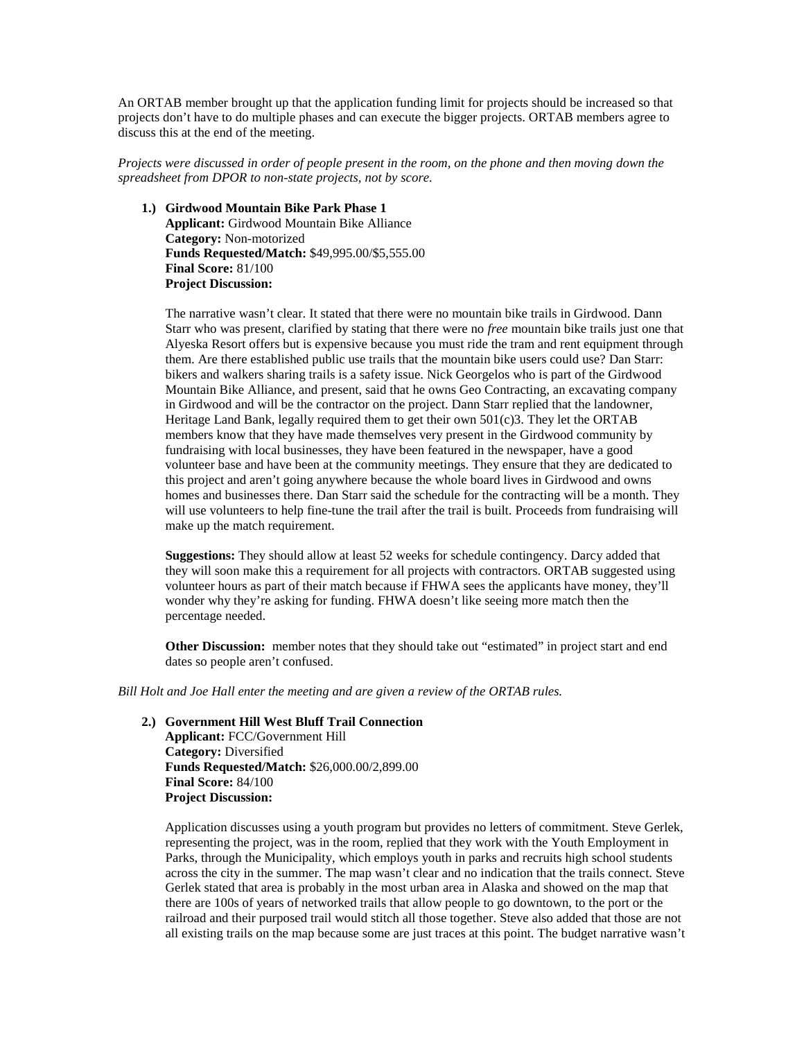An ORTAB member brought up that the application funding limit for projects should be increased so that projects don't have to do multiple phases and can execute the bigger projects. ORTAB members agree to discuss this at the end of the meeting.

*Projects were discussed in order of people present in the room, on the phone and then moving down the spreadsheet from DPOR to non-state projects, not by score.*

**1.) Girdwood Mountain Bike Park Phase 1 Applicant:** Girdwood Mountain Bike Alliance **Category:** Non-motorized **Funds Requested/Match:** \$49,995.00/\$5,555.00 **Final Score:** 81/100 **Project Discussion:**

The narrative wasn't clear. It stated that there were no mountain bike trails in Girdwood. Dann Starr who was present, clarified by stating that there were no *free* mountain bike trails just one that Alyeska Resort offers but is expensive because you must ride the tram and rent equipment through them. Are there established public use trails that the mountain bike users could use? Dan Starr: bikers and walkers sharing trails is a safety issue. Nick Georgelos who is part of the Girdwood Mountain Bike Alliance, and present, said that he owns Geo Contracting, an excavating company in Girdwood and will be the contractor on the project. Dann Starr replied that the landowner, Heritage Land Bank, legally required them to get their own 501(c)3. They let the ORTAB members know that they have made themselves very present in the Girdwood community by fundraising with local businesses, they have been featured in the newspaper, have a good volunteer base and have been at the community meetings. They ensure that they are dedicated to this project and aren't going anywhere because the whole board lives in Girdwood and owns homes and businesses there. Dan Starr said the schedule for the contracting will be a month. They will use volunteers to help fine-tune the trail after the trail is built. Proceeds from fundraising will make up the match requirement.

**Suggestions:** They should allow at least 52 weeks for schedule contingency. Darcy added that they will soon make this a requirement for all projects with contractors. ORTAB suggested using volunteer hours as part of their match because if FHWA sees the applicants have money, they'll wonder why they're asking for funding. FHWA doesn't like seeing more match then the percentage needed.

**Other Discussion:** member notes that they should take out "estimated" in project start and end dates so people aren't confused.

*Bill Holt and Joe Hall enter the meeting and are given a review of the ORTAB rules.*

**2.) Government Hill West Bluff Trail Connection Applicant:** FCC/Government Hill

**Category:** Diversified **Funds Requested/Match:** \$26,000.00/2,899.00 **Final Score:** 84/100 **Project Discussion:**

Application discusses using a youth program but provides no letters of commitment. Steve Gerlek, representing the project, was in the room, replied that they work with the Youth Employment in Parks, through the Municipality, which employs youth in parks and recruits high school students across the city in the summer. The map wasn't clear and no indication that the trails connect. Steve Gerlek stated that area is probably in the most urban area in Alaska and showed on the map that there are 100s of years of networked trails that allow people to go downtown, to the port or the railroad and their purposed trail would stitch all those together. Steve also added that those are not all existing trails on the map because some are just traces at this point. The budget narrative wasn't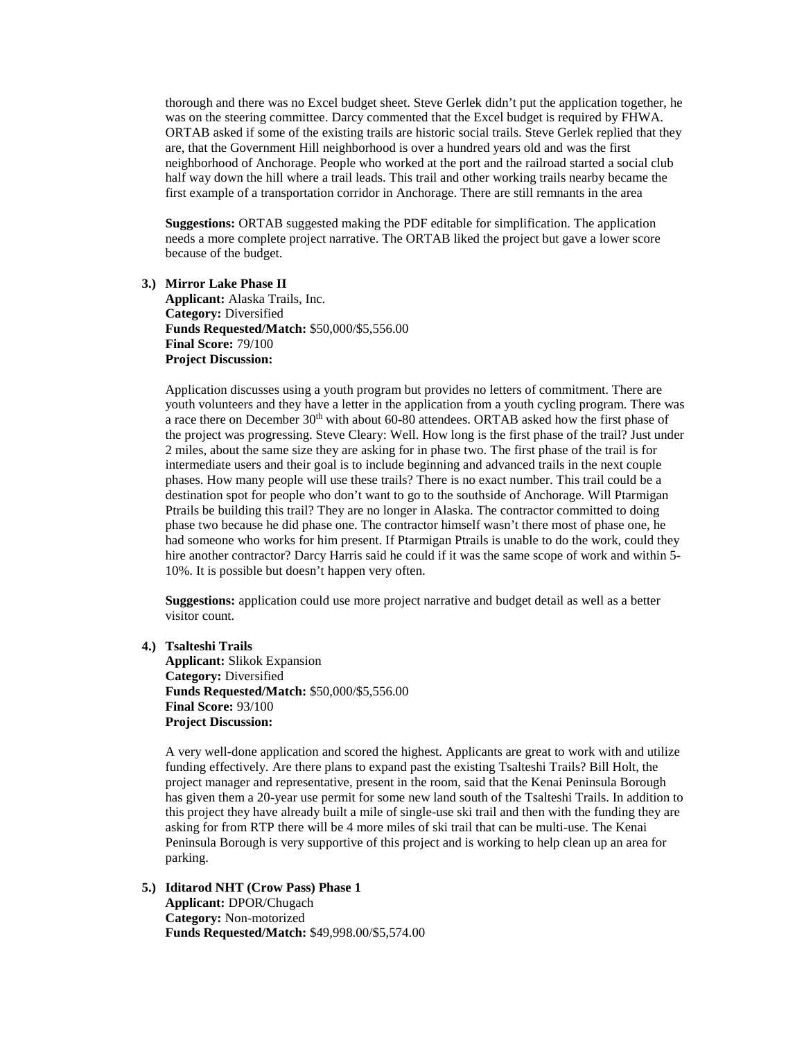thorough and there was no Excel budget sheet. Steve Gerlek didn't put the application together, he was on the steering committee. Darcy commented that the Excel budget is required by FHWA. ORTAB asked if some of the existing trails are historic social trails. Steve Gerlek replied that they are, that the Government Hill neighborhood is over a hundred years old and was the first neighborhood of Anchorage. People who worked at the port and the railroad started a social club half way down the hill where a trail leads. This trail and other working trails nearby became the first example of a transportation corridor in Anchorage. There are still remnants in the area

**Suggestions:** ORTAB suggested making the PDF editable for simplification. The application needs a more complete project narrative. The ORTAB liked the project but gave a lower score because of the budget.

**3.) Mirror Lake Phase II Applicant:** Alaska Trails, Inc. **Category:** Diversified **Funds Requested/Match:** \$50,000/\$5,556.00 **Final Score:** 79/100 **Project Discussion:**

Application discusses using a youth program but provides no letters of commitment. There are youth volunteers and they have a letter in the application from a youth cycling program. There was a race there on December 30<sup>th</sup> with about 60-80 attendees. ORTAB asked how the first phase of the project was progressing. Steve Cleary: Well. How long is the first phase of the trail? Just under 2 miles, about the same size they are asking for in phase two. The first phase of the trail is for intermediate users and their goal is to include beginning and advanced trails in the next couple phases. How many people will use these trails? There is no exact number. This trail could be a destination spot for people who don't want to go to the southside of Anchorage. Will Ptarmigan Ptrails be building this trail? They are no longer in Alaska. The contractor committed to doing phase two because he did phase one. The contractor himself wasn't there most of phase one, he had someone who works for him present. If Ptarmigan Ptrails is unable to do the work, could they hire another contractor? Darcy Harris said he could if it was the same scope of work and within 5- 10%. It is possible but doesn't happen very often.

**Suggestions:** application could use more project narrative and budget detail as well as a better visitor count.

**4.) Tsalteshi Trails**

**Applicant:** Slikok Expansion **Category:** Diversified **Funds Requested/Match:** \$50,000/\$5,556.00 **Final Score:** 93/100 **Project Discussion:**

A very well-done application and scored the highest. Applicants are great to work with and utilize funding effectively. Are there plans to expand past the existing Tsalteshi Trails? Bill Holt, the project manager and representative, present in the room, said that the Kenai Peninsula Borough has given them a 20-year use permit for some new land south of the Tsalteshi Trails. In addition to this project they have already built a mile of single-use ski trail and then with the funding they are asking for from RTP there will be 4 more miles of ski trail that can be multi-use. The Kenai Peninsula Borough is very supportive of this project and is working to help clean up an area for parking.

**5.) Iditarod NHT (Crow Pass) Phase 1 Applicant:** DPOR/Chugach **Category:** Non-motorized **Funds Requested/Match:** \$49,998.00/\$5,574.00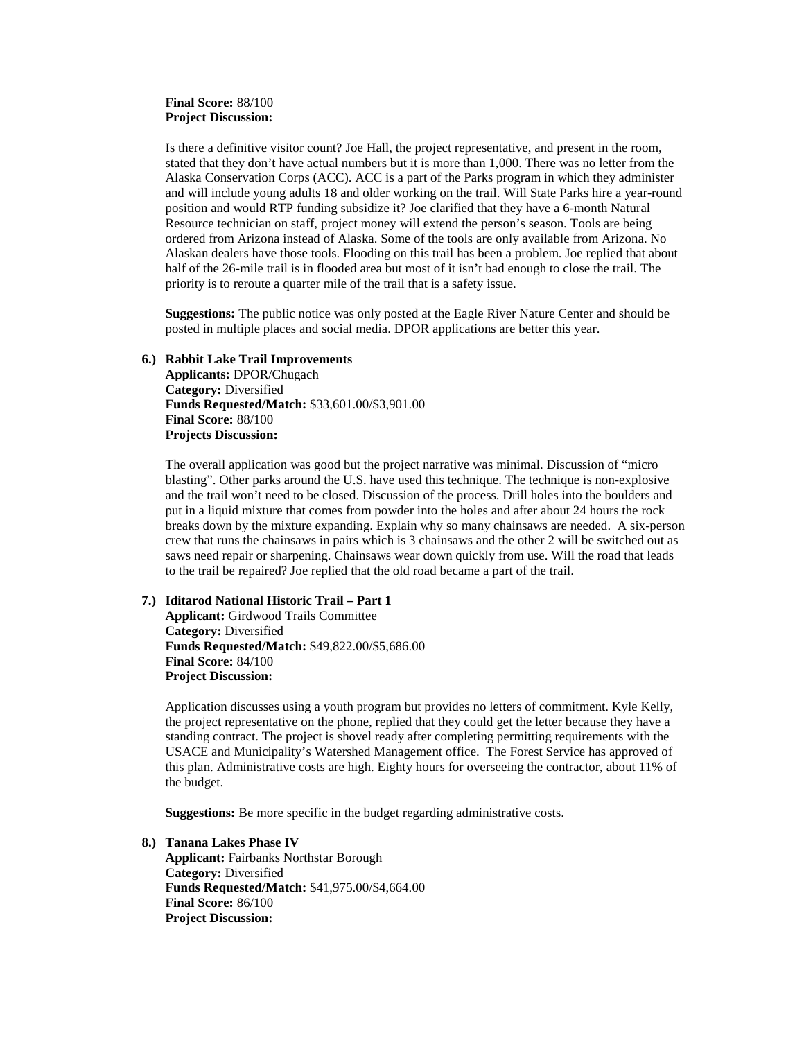# **Final Score:** 88/100 **Project Discussion:**

Is there a definitive visitor count? Joe Hall, the project representative, and present in the room, stated that they don't have actual numbers but it is more than 1,000. There was no letter from the Alaska Conservation Corps (ACC). ACC is a part of the Parks program in which they administer and will include young adults 18 and older working on the trail. Will State Parks hire a year-round position and would RTP funding subsidize it? Joe clarified that they have a 6-month Natural Resource technician on staff, project money will extend the person's season. Tools are being ordered from Arizona instead of Alaska. Some of the tools are only available from Arizona. No Alaskan dealers have those tools. Flooding on this trail has been a problem. Joe replied that about half of the 26-mile trail is in flooded area but most of it isn't bad enough to close the trail. The priority is to reroute a quarter mile of the trail that is a safety issue.

**Suggestions:** The public notice was only posted at the Eagle River Nature Center and should be posted in multiple places and social media. DPOR applications are better this year.

## **6.) Rabbit Lake Trail Improvements**

**Applicants:** DPOR/Chugach **Category:** Diversified **Funds Requested/Match:** \$33,601.00/\$3,901.00 **Final Score:** 88/100 **Projects Discussion:**

The overall application was good but the project narrative was minimal. Discussion of "micro blasting". Other parks around the U.S. have used this technique. The technique is non-explosive and the trail won't need to be closed. Discussion of the process. Drill holes into the boulders and put in a liquid mixture that comes from powder into the holes and after about 24 hours the rock breaks down by the mixture expanding. Explain why so many chainsaws are needed. A six-person crew that runs the chainsaws in pairs which is 3 chainsaws and the other 2 will be switched out as saws need repair or sharpening. Chainsaws wear down quickly from use. Will the road that leads to the trail be repaired? Joe replied that the old road became a part of the trail.

### **7.) Iditarod National Historic Trail – Part 1**

**Applicant:** Girdwood Trails Committee **Category:** Diversified **Funds Requested/Match:** \$49,822.00/\$5,686.00 **Final Score:** 84/100 **Project Discussion:**

Application discusses using a youth program but provides no letters of commitment. Kyle Kelly, the project representative on the phone, replied that they could get the letter because they have a standing contract. The project is shovel ready after completing permitting requirements with the USACE and Municipality's Watershed Management office. The Forest Service has approved of this plan. Administrative costs are high. Eighty hours for overseeing the contractor, about 11% of the budget.

**Suggestions:** Be more specific in the budget regarding administrative costs.

**8.) Tanana Lakes Phase IV Applicant:** Fairbanks Northstar Borough **Category:** Diversified **Funds Requested/Match:** \$41,975.00/\$4,664.00 **Final Score:** 86/100 **Project Discussion:**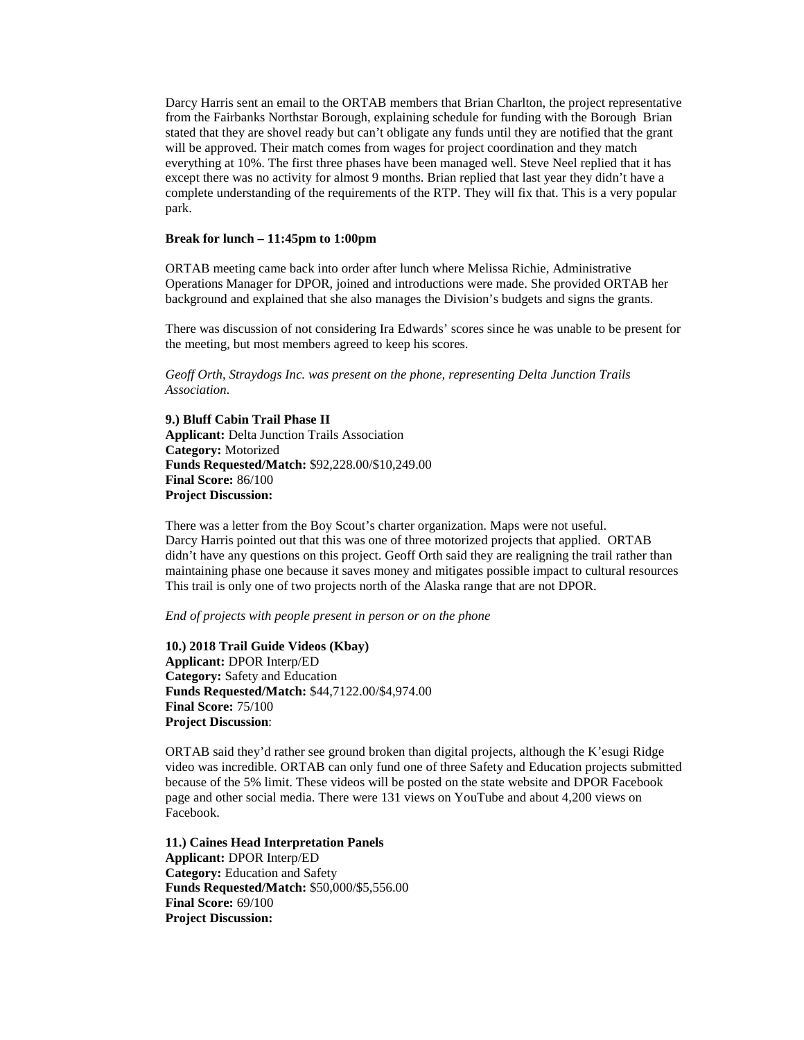Darcy Harris sent an email to the ORTAB members that Brian Charlton, the project representative from the Fairbanks Northstar Borough, explaining schedule for funding with the Borough Brian stated that they are shovel ready but can't obligate any funds until they are notified that the grant will be approved. Their match comes from wages for project coordination and they match everything at 10%. The first three phases have been managed well. Steve Neel replied that it has except there was no activity for almost 9 months. Brian replied that last year they didn't have a complete understanding of the requirements of the RTP. They will fix that. This is a very popular park.

# **Break for lunch – 11:45pm to 1:00pm**

ORTAB meeting came back into order after lunch where Melissa Richie, Administrative Operations Manager for DPOR, joined and introductions were made. She provided ORTAB her background and explained that she also manages the Division's budgets and signs the grants.

There was discussion of not considering Ira Edwards' scores since he was unable to be present for the meeting, but most members agreed to keep his scores.

*Geoff Orth, Straydogs Inc. was present on the phone, representing Delta Junction Trails Association.*

**9.) Bluff Cabin Trail Phase II Applicant:** Delta Junction Trails Association **Category:** Motorized **Funds Requested/Match:** \$92,228.00/\$10,249.00 **Final Score:** 86/100 **Project Discussion:**

There was a letter from the Boy Scout's charter organization. Maps were not useful. Darcy Harris pointed out that this was one of three motorized projects that applied. ORTAB didn't have any questions on this project. Geoff Orth said they are realigning the trail rather than maintaining phase one because it saves money and mitigates possible impact to cultural resources This trail is only one of two projects north of the Alaska range that are not DPOR.

*End of projects with people present in person or on the phone*

**10.) 2018 Trail Guide Videos (Kbay) Applicant:** DPOR Interp/ED **Category:** Safety and Education **Funds Requested/Match:** \$44,7122.00/\$4,974.00 **Final Score:** 75/100 **Project Discussion**:

ORTAB said they'd rather see ground broken than digital projects, although the K'esugi Ridge video was incredible. ORTAB can only fund one of three Safety and Education projects submitted because of the 5% limit. These videos will be posted on the state website and DPOR Facebook page and other social media. There were 131 views on YouTube and about 4,200 views on Facebook.

**11.) Caines Head Interpretation Panels Applicant:** DPOR Interp/ED **Category:** Education and Safety **Funds Requested/Match:** \$50,000/\$5,556.00 **Final Score:** 69/100 **Project Discussion:**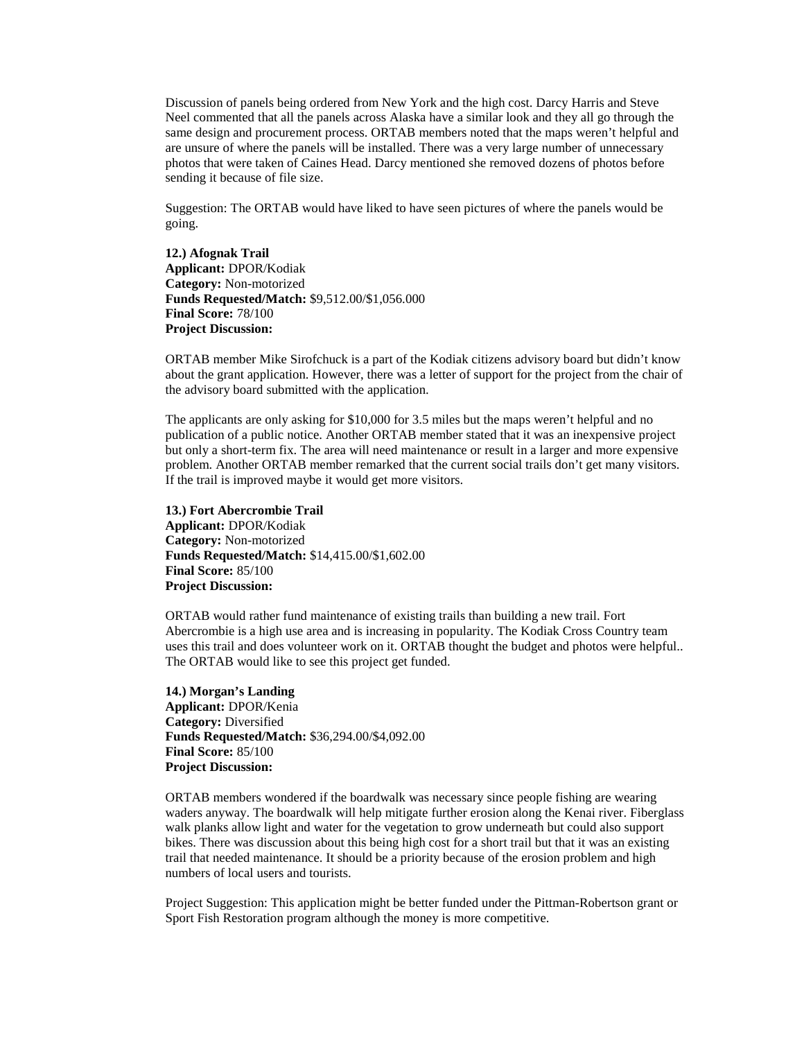Discussion of panels being ordered from New York and the high cost. Darcy Harris and Steve Neel commented that all the panels across Alaska have a similar look and they all go through the same design and procurement process. ORTAB members noted that the maps weren't helpful and are unsure of where the panels will be installed. There was a very large number of unnecessary photos that were taken of Caines Head. Darcy mentioned she removed dozens of photos before sending it because of file size.

Suggestion: The ORTAB would have liked to have seen pictures of where the panels would be going.

**12.) Afognak Trail Applicant:** DPOR/Kodiak **Category:** Non-motorized **Funds Requested/Match:** \$9,512.00/\$1,056.000 **Final Score:** 78/100 **Project Discussion:**

ORTAB member Mike Sirofchuck is a part of the Kodiak citizens advisory board but didn't know about the grant application. However, there was a letter of support for the project from the chair of the advisory board submitted with the application.

The applicants are only asking for \$10,000 for 3.5 miles but the maps weren't helpful and no publication of a public notice. Another ORTAB member stated that it was an inexpensive project but only a short-term fix. The area will need maintenance or result in a larger and more expensive problem. Another ORTAB member remarked that the current social trails don't get many visitors. If the trail is improved maybe it would get more visitors.

**13.) Fort Abercrombie Trail Applicant:** DPOR/Kodiak **Category:** Non-motorized **Funds Requested/Match:** \$14,415.00/\$1,602.00 **Final Score:** 85/100 **Project Discussion:**

ORTAB would rather fund maintenance of existing trails than building a new trail. Fort Abercrombie is a high use area and is increasing in popularity. The Kodiak Cross Country team uses this trail and does volunteer work on it. ORTAB thought the budget and photos were helpful.. The ORTAB would like to see this project get funded.

**14.) Morgan's Landing Applicant:** DPOR/Kenia **Category:** Diversified **Funds Requested/Match:** \$36,294.00/\$4,092.00 **Final Score:** 85/100 **Project Discussion:**

ORTAB members wondered if the boardwalk was necessary since people fishing are wearing waders anyway. The boardwalk will help mitigate further erosion along the Kenai river. Fiberglass walk planks allow light and water for the vegetation to grow underneath but could also support bikes. There was discussion about this being high cost for a short trail but that it was an existing trail that needed maintenance. It should be a priority because of the erosion problem and high numbers of local users and tourists.

Project Suggestion: This application might be better funded under the Pittman-Robertson grant or Sport Fish Restoration program although the money is more competitive.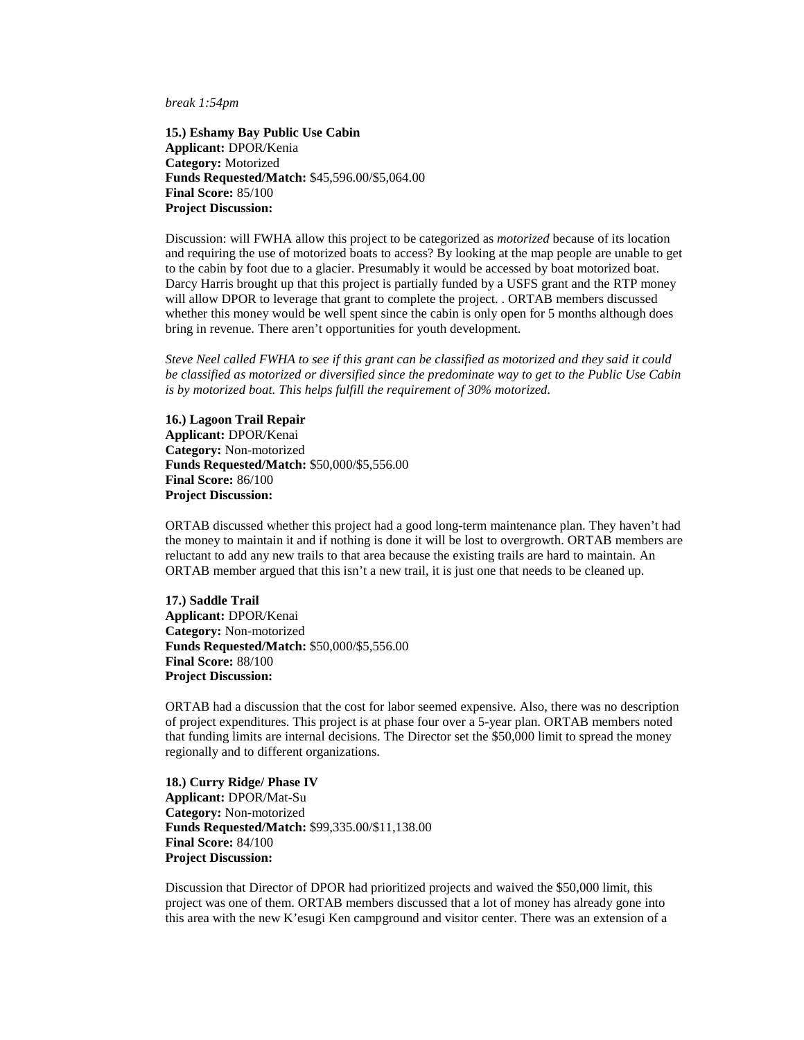*break 1:54pm*

**15.) Eshamy Bay Public Use Cabin Applicant:** DPOR/Kenia **Category:** Motorized **Funds Requested/Match:** \$45,596.00/\$5,064.00 **Final Score:** 85/100 **Project Discussion:**

Discussion: will FWHA allow this project to be categorized as *motorized* because of its location and requiring the use of motorized boats to access? By looking at the map people are unable to get to the cabin by foot due to a glacier. Presumably it would be accessed by boat motorized boat. Darcy Harris brought up that this project is partially funded by a USFS grant and the RTP money will allow DPOR to leverage that grant to complete the project. . ORTAB members discussed whether this money would be well spent since the cabin is only open for 5 months although does bring in revenue. There aren't opportunities for youth development.

*Steve Neel called FWHA to see if this grant can be classified as motorized and they said it could be classified as motorized or diversified since the predominate way to get to the Public Use Cabin is by motorized boat. This helps fulfill the requirement of 30% motorized.*

**16.) Lagoon Trail Repair Applicant:** DPOR/Kenai **Category:** Non-motorized **Funds Requested/Match:** \$50,000/\$5,556.00 **Final Score:** 86/100 **Project Discussion:** 

ORTAB discussed whether this project had a good long-term maintenance plan. They haven't had the money to maintain it and if nothing is done it will be lost to overgrowth. ORTAB members are reluctant to add any new trails to that area because the existing trails are hard to maintain. An ORTAB member argued that this isn't a new trail, it is just one that needs to be cleaned up.

**17.) Saddle Trail Applicant:** DPOR/Kenai **Category:** Non-motorized **Funds Requested/Match:** \$50,000/\$5,556.00 **Final Score:** 88/100 **Project Discussion:** 

ORTAB had a discussion that the cost for labor seemed expensive. Also, there was no description of project expenditures. This project is at phase four over a 5-year plan. ORTAB members noted that funding limits are internal decisions. The Director set the \$50,000 limit to spread the money regionally and to different organizations.

**18.) Curry Ridge/ Phase IV Applicant:** DPOR/Mat-Su **Category:** Non-motorized **Funds Requested/Match:** \$99,335.00/\$11,138.00 **Final Score:** 84/100 **Project Discussion:** 

Discussion that Director of DPOR had prioritized projects and waived the \$50,000 limit, this project was one of them. ORTAB members discussed that a lot of money has already gone into this area with the new K'esugi Ken campground and visitor center. There was an extension of a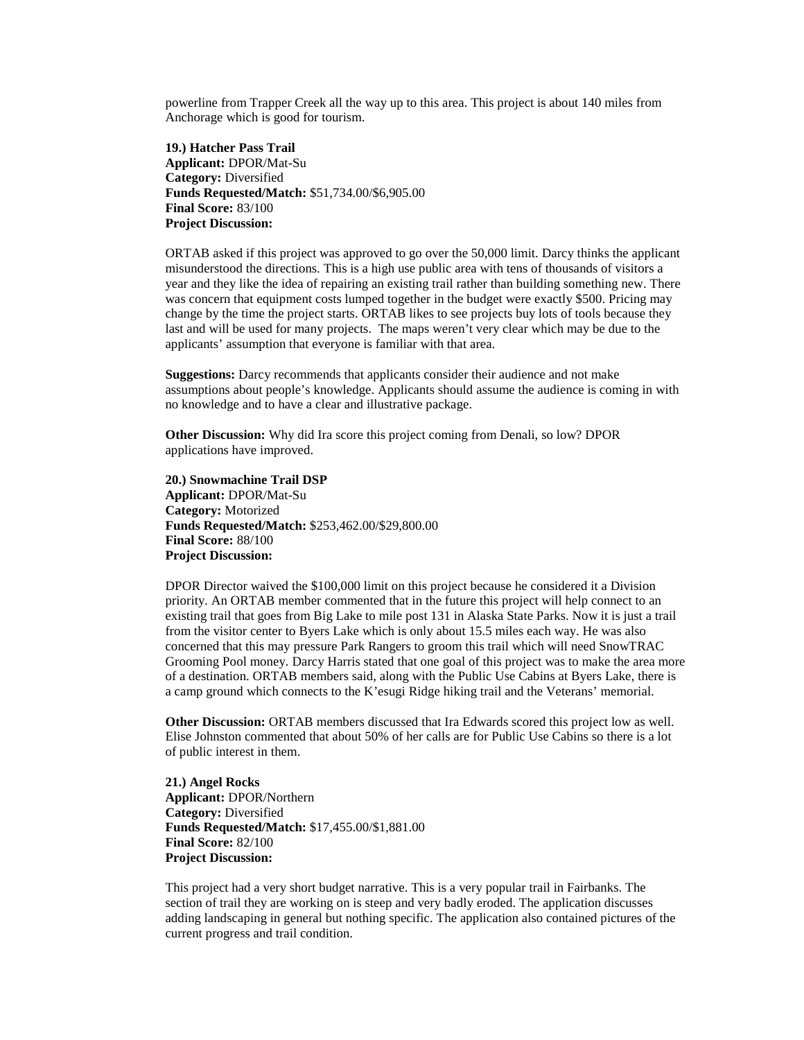powerline from Trapper Creek all the way up to this area. This project is about 140 miles from Anchorage which is good for tourism.

**19.) Hatcher Pass Trail Applicant:** DPOR/Mat-Su **Category:** Diversified **Funds Requested/Match:** \$51,734.00/\$6,905.00 **Final Score:** 83/100 **Project Discussion:**

ORTAB asked if this project was approved to go over the 50,000 limit. Darcy thinks the applicant misunderstood the directions. This is a high use public area with tens of thousands of visitors a year and they like the idea of repairing an existing trail rather than building something new. There was concern that equipment costs lumped together in the budget were exactly \$500. Pricing may change by the time the project starts. ORTAB likes to see projects buy lots of tools because they last and will be used for many projects. The maps weren't very clear which may be due to the applicants' assumption that everyone is familiar with that area.

**Suggestions:** Darcy recommends that applicants consider their audience and not make assumptions about people's knowledge. Applicants should assume the audience is coming in with no knowledge and to have a clear and illustrative package.

**Other Discussion:** Why did Ira score this project coming from Denali, so low? DPOR applications have improved.

**20.) Snowmachine Trail DSP Applicant:** DPOR/Mat-Su **Category:** Motorized **Funds Requested/Match:** \$253,462.00/\$29,800.00 **Final Score:** 88/100 **Project Discussion:**

DPOR Director waived the \$100,000 limit on this project because he considered it a Division priority. An ORTAB member commented that in the future this project will help connect to an existing trail that goes from Big Lake to mile post 131 in Alaska State Parks. Now it is just a trail from the visitor center to Byers Lake which is only about 15.5 miles each way. He was also concerned that this may pressure Park Rangers to groom this trail which will need SnowTRAC Grooming Pool money. Darcy Harris stated that one goal of this project was to make the area more of a destination. ORTAB members said, along with the Public Use Cabins at Byers Lake, there is a camp ground which connects to the K'esugi Ridge hiking trail and the Veterans' memorial.

**Other Discussion:** ORTAB members discussed that Ira Edwards scored this project low as well. Elise Johnston commented that about 50% of her calls are for Public Use Cabins so there is a lot of public interest in them.

**21.) Angel Rocks Applicant:** DPOR/Northern **Category:** Diversified **Funds Requested/Match:** \$17,455.00/\$1,881.00 **Final Score:** 82/100 **Project Discussion:**

This project had a very short budget narrative. This is a very popular trail in Fairbanks. The section of trail they are working on is steep and very badly eroded. The application discusses adding landscaping in general but nothing specific. The application also contained pictures of the current progress and trail condition.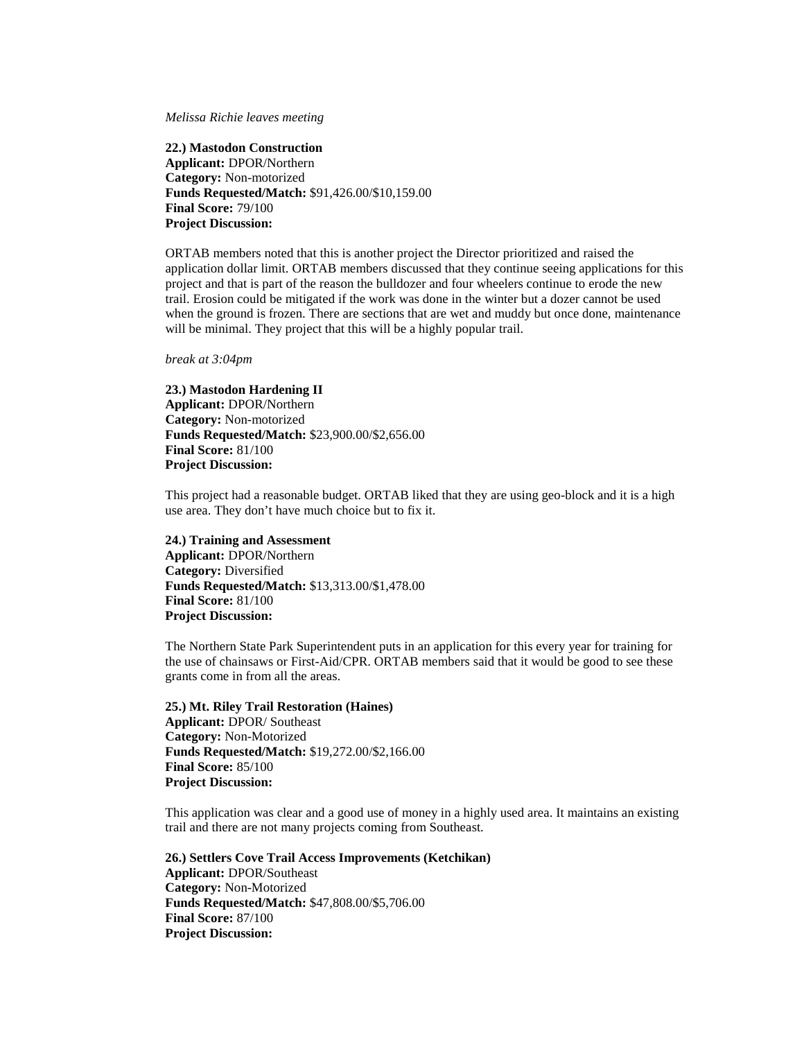*Melissa Richie leaves meeting* 

**22.) Mastodon Construction Applicant:** DPOR/Northern **Category:** Non-motorized **Funds Requested/Match:** \$91,426.00/\$10,159.00 **Final Score:** 79/100 **Project Discussion:**

ORTAB members noted that this is another project the Director prioritized and raised the application dollar limit. ORTAB members discussed that they continue seeing applications for this project and that is part of the reason the bulldozer and four wheelers continue to erode the new trail. Erosion could be mitigated if the work was done in the winter but a dozer cannot be used when the ground is frozen. There are sections that are wet and muddy but once done, maintenance will be minimal. They project that this will be a highly popular trail.

*break at 3:04pm*

**23.) Mastodon Hardening II Applicant:** DPOR/Northern **Category:** Non-motorized **Funds Requested/Match:** \$23,900.00/\$2,656.00 **Final Score:** 81/100 **Project Discussion:**

This project had a reasonable budget. ORTAB liked that they are using geo-block and it is a high use area. They don't have much choice but to fix it.

### **24.) Training and Assessment**

**Applicant:** DPOR/Northern **Category:** Diversified **Funds Requested/Match:** \$13,313.00/\$1,478.00 **Final Score:** 81/100 **Project Discussion:**

The Northern State Park Superintendent puts in an application for this every year for training for the use of chainsaws or First-Aid/CPR. ORTAB members said that it would be good to see these grants come in from all the areas.

**25.) Mt. Riley Trail Restoration (Haines) Applicant:** DPOR/ Southeast **Category:** Non-Motorized **Funds Requested/Match:** \$19,272.00/\$2,166.00 **Final Score:** 85/100 **Project Discussion:**

This application was clear and a good use of money in a highly used area. It maintains an existing trail and there are not many projects coming from Southeast.

**26.) Settlers Cove Trail Access Improvements (Ketchikan) Applicant:** DPOR/Southeast **Category:** Non-Motorized **Funds Requested/Match:** \$47,808.00/\$5,706.00 **Final Score:** 87/100 **Project Discussion:**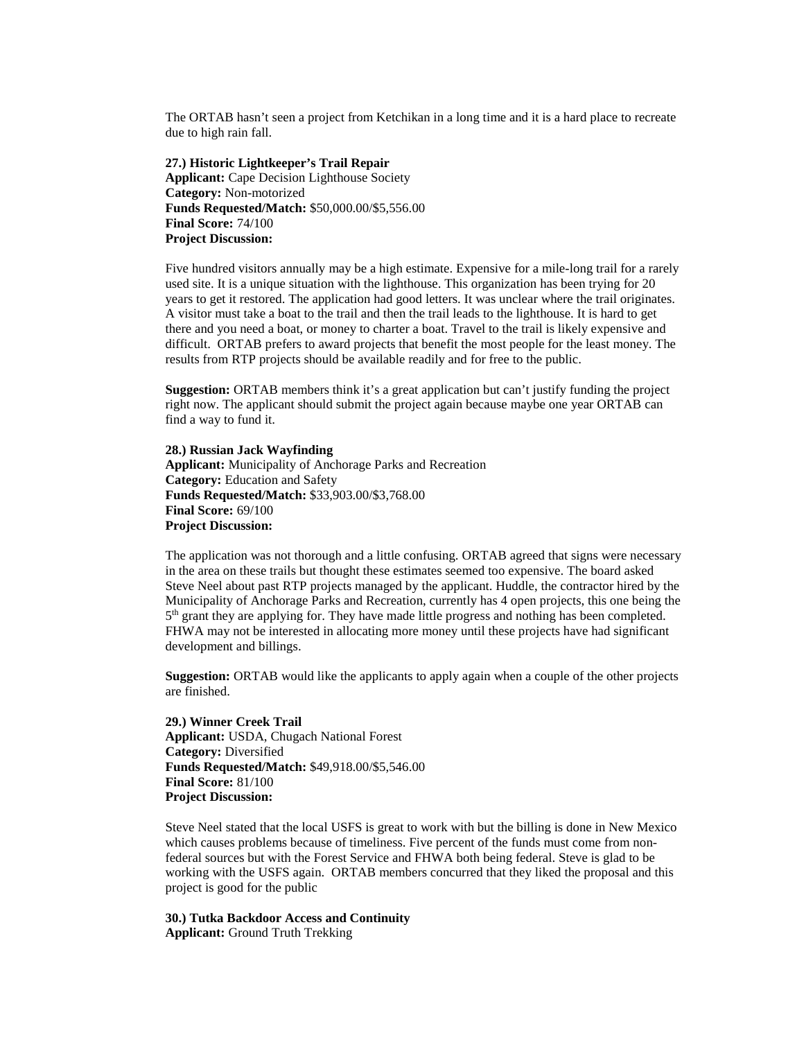The ORTAB hasn't seen a project from Ketchikan in a long time and it is a hard place to recreate due to high rain fall.

**27.) Historic Lightkeeper's Trail Repair Applicant:** Cape Decision Lighthouse Society **Category:** Non-motorized **Funds Requested/Match:** \$50,000.00/\$5,556.00 **Final Score:** 74/100 **Project Discussion:**

Five hundred visitors annually may be a high estimate. Expensive for a mile-long trail for a rarely used site. It is a unique situation with the lighthouse. This organization has been trying for 20 years to get it restored. The application had good letters. It was unclear where the trail originates. A visitor must take a boat to the trail and then the trail leads to the lighthouse. It is hard to get there and you need a boat, or money to charter a boat. Travel to the trail is likely expensive and difficult. ORTAB prefers to award projects that benefit the most people for the least money. The results from RTP projects should be available readily and for free to the public.

**Suggestion:** ORTAB members think it's a great application but can't justify funding the project right now. The applicant should submit the project again because maybe one year ORTAB can find a way to fund it.

**28.) Russian Jack Wayfinding Applicant:** Municipality of Anchorage Parks and Recreation **Category:** Education and Safety **Funds Requested/Match:** \$33,903.00/\$3,768.00 **Final Score:** 69/100 **Project Discussion:**

The application was not thorough and a little confusing. ORTAB agreed that signs were necessary in the area on these trails but thought these estimates seemed too expensive. The board asked Steve Neel about past RTP projects managed by the applicant. Huddle, the contractor hired by the Municipality of Anchorage Parks and Recreation, currently has 4 open projects, this one being the  $5<sup>th</sup>$  grant they are applying for. They have made little progress and nothing has been completed. FHWA may not be interested in allocating more money until these projects have had significant development and billings.

**Suggestion:** ORTAB would like the applicants to apply again when a couple of the other projects are finished.

**29.) Winner Creek Trail Applicant:** USDA, Chugach National Forest **Category:** Diversified **Funds Requested/Match:** \$49,918.00/\$5,546.00 **Final Score:** 81/100 **Project Discussion:**

Steve Neel stated that the local USFS is great to work with but the billing is done in New Mexico which causes problems because of timeliness. Five percent of the funds must come from nonfederal sources but with the Forest Service and FHWA both being federal. Steve is glad to be working with the USFS again. ORTAB members concurred that they liked the proposal and this project is good for the public

**30.) Tutka Backdoor Access and Continuity Applicant:** Ground Truth Trekking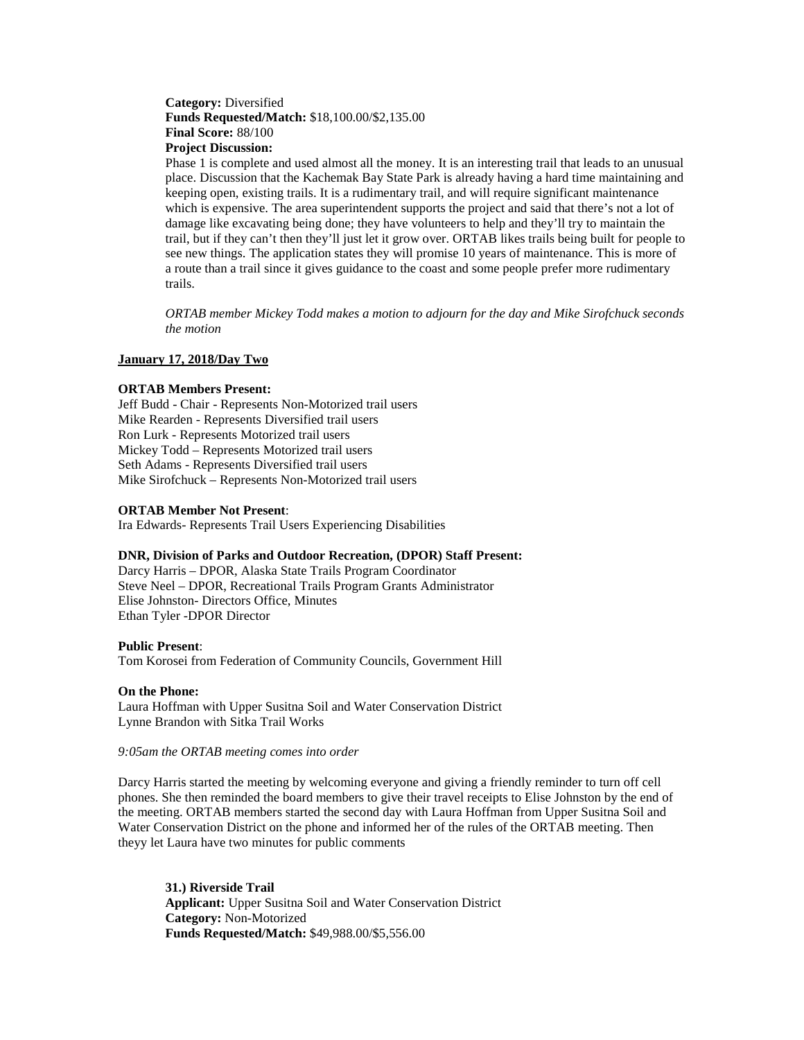# **Category:** Diversified **Funds Requested/Match:** \$18,100.00/\$2,135.00 **Final Score:** 88/100 **Project Discussion:**

Phase 1 is complete and used almost all the money. It is an interesting trail that leads to an unusual place. Discussion that the Kachemak Bay State Park is already having a hard time maintaining and keeping open, existing trails. It is a rudimentary trail, and will require significant maintenance which is expensive. The area superintendent supports the project and said that there's not a lot of damage like excavating being done; they have volunteers to help and they'll try to maintain the trail, but if they can't then they'll just let it grow over. ORTAB likes trails being built for people to see new things. The application states they will promise 10 years of maintenance. This is more of a route than a trail since it gives guidance to the coast and some people prefer more rudimentary trails.

*ORTAB member Mickey Todd makes a motion to adjourn for the day and Mike Sirofchuck seconds the motion*

## **January 17, 2018/Day Two**

## **ORTAB Members Present:**

Jeff Budd - Chair - Represents Non-Motorized trail users Mike Rearden - Represents Diversified trail users Ron Lurk - Represents Motorized trail users Mickey Todd – Represents Motorized trail users Seth Adams - Represents Diversified trail users Mike Sirofchuck – Represents Non-Motorized trail users

### **ORTAB Member Not Present**:

Ira Edwards- Represents Trail Users Experiencing Disabilities

## **DNR, Division of Parks and Outdoor Recreation, (DPOR) Staff Present:**

Darcy Harris – DPOR, Alaska State Trails Program Coordinator Steve Neel – DPOR, Recreational Trails Program Grants Administrator Elise Johnston- Directors Office, Minutes Ethan Tyler -DPOR Director

#### **Public Present**:

Tom Korosei from Federation of Community Councils, Government Hill

#### **On the Phone:**

Laura Hoffman with Upper Susitna Soil and Water Conservation District Lynne Brandon with Sitka Trail Works

#### *9:05am the ORTAB meeting comes into order*

Darcy Harris started the meeting by welcoming everyone and giving a friendly reminder to turn off cell phones. She then reminded the board members to give their travel receipts to Elise Johnston by the end of the meeting. ORTAB members started the second day with Laura Hoffman from Upper Susitna Soil and Water Conservation District on the phone and informed her of the rules of the ORTAB meeting. Then theyy let Laura have two minutes for public comments

**31.) Riverside Trail Applicant:** Upper Susitna Soil and Water Conservation District **Category:** Non-Motorized **Funds Requested/Match:** \$49,988.00/\$5,556.00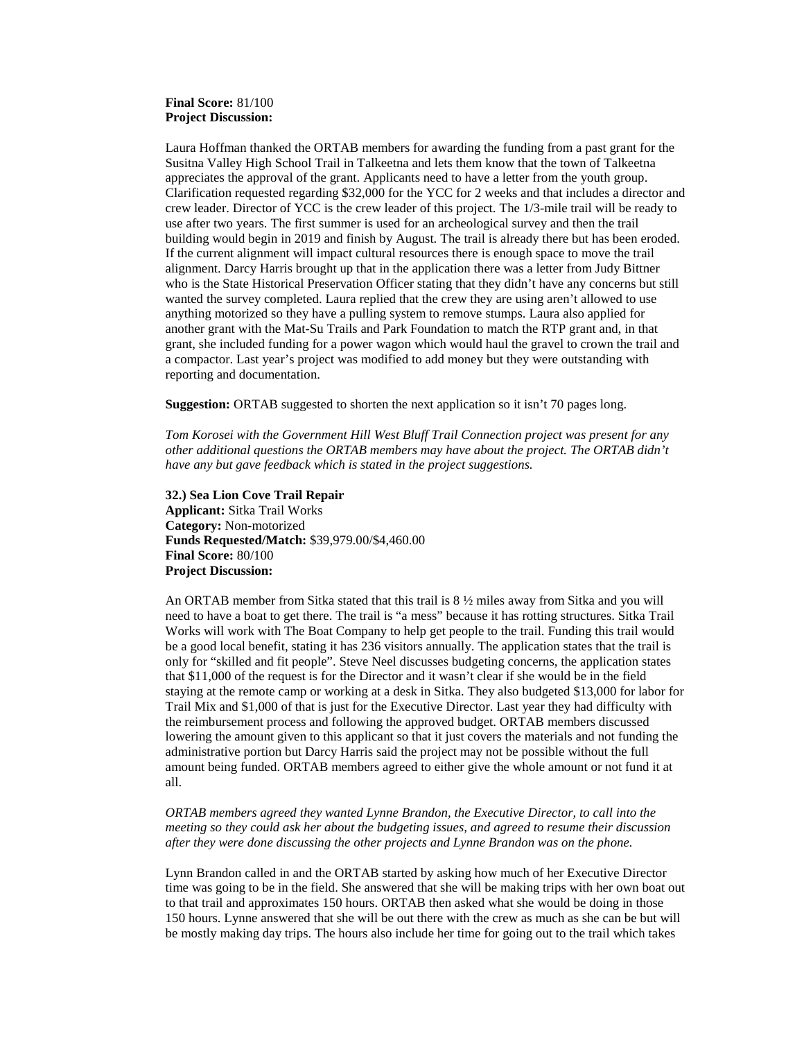# **Final Score:** 81/100 **Project Discussion:**

Laura Hoffman thanked the ORTAB members for awarding the funding from a past grant for the Susitna Valley High School Trail in Talkeetna and lets them know that the town of Talkeetna appreciates the approval of the grant. Applicants need to have a letter from the youth group. Clarification requested regarding \$32,000 for the YCC for 2 weeks and that includes a director and crew leader. Director of YCC is the crew leader of this project. The 1/3-mile trail will be ready to use after two years. The first summer is used for an archeological survey and then the trail building would begin in 2019 and finish by August. The trail is already there but has been eroded. If the current alignment will impact cultural resources there is enough space to move the trail alignment. Darcy Harris brought up that in the application there was a letter from Judy Bittner who is the State Historical Preservation Officer stating that they didn't have any concerns but still wanted the survey completed. Laura replied that the crew they are using aren't allowed to use anything motorized so they have a pulling system to remove stumps. Laura also applied for another grant with the Mat-Su Trails and Park Foundation to match the RTP grant and, in that grant, she included funding for a power wagon which would haul the gravel to crown the trail and a compactor. Last year's project was modified to add money but they were outstanding with reporting and documentation.

**Suggestion:** ORTAB suggested to shorten the next application so it isn't 70 pages long.

*Tom Korosei with the Government Hill West Bluff Trail Connection project was present for any other additional questions the ORTAB members may have about the project. The ORTAB didn't have any but gave feedback which is stated in the project suggestions.*

**32.) Sea Lion Cove Trail Repair Applicant:** Sitka Trail Works **Category:** Non-motorized **Funds Requested/Match:** \$39,979.00/\$4,460.00 **Final Score:** 80/100 **Project Discussion:** 

An ORTAB member from Sitka stated that this trail is 8 ½ miles away from Sitka and you will need to have a boat to get there. The trail is "a mess" because it has rotting structures. Sitka Trail Works will work with The Boat Company to help get people to the trail. Funding this trail would be a good local benefit, stating it has 236 visitors annually. The application states that the trail is only for "skilled and fit people". Steve Neel discusses budgeting concerns, the application states that \$11,000 of the request is for the Director and it wasn't clear if she would be in the field staying at the remote camp or working at a desk in Sitka. They also budgeted \$13,000 for labor for Trail Mix and \$1,000 of that is just for the Executive Director. Last year they had difficulty with the reimbursement process and following the approved budget. ORTAB members discussed lowering the amount given to this applicant so that it just covers the materials and not funding the administrative portion but Darcy Harris said the project may not be possible without the full amount being funded. ORTAB members agreed to either give the whole amount or not fund it at all.

*ORTAB members agreed they wanted Lynne Brandon, the Executive Director, to call into the meeting so they could ask her about the budgeting issues, and agreed to resume their discussion after they were done discussing the other projects and Lynne Brandon was on the phone.*

Lynn Brandon called in and the ORTAB started by asking how much of her Executive Director time was going to be in the field. She answered that she will be making trips with her own boat out to that trail and approximates 150 hours. ORTAB then asked what she would be doing in those 150 hours. Lynne answered that she will be out there with the crew as much as she can be but will be mostly making day trips. The hours also include her time for going out to the trail which takes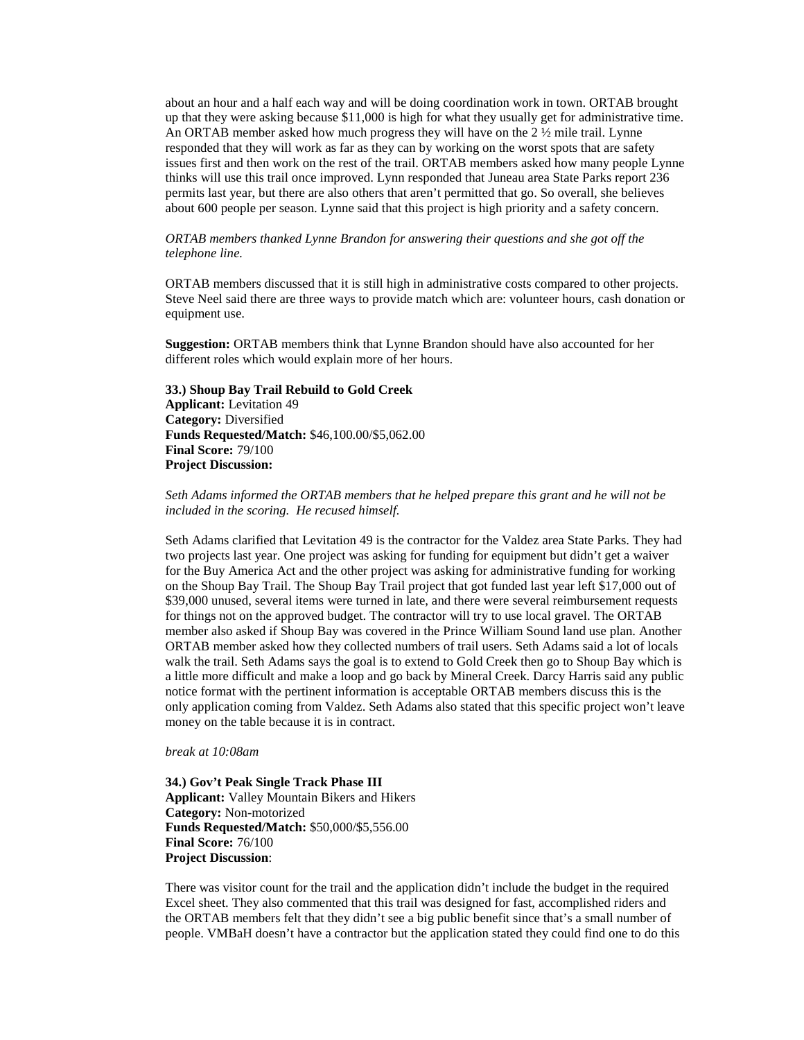about an hour and a half each way and will be doing coordination work in town. ORTAB brought up that they were asking because \$11,000 is high for what they usually get for administrative time. An ORTAB member asked how much progress they will have on the 2 ½ mile trail. Lynne responded that they will work as far as they can by working on the worst spots that are safety issues first and then work on the rest of the trail. ORTAB members asked how many people Lynne thinks will use this trail once improved. Lynn responded that Juneau area State Parks report 236 permits last year, but there are also others that aren't permitted that go. So overall, she believes about 600 people per season. Lynne said that this project is high priority and a safety concern.

*ORTAB members thanked Lynne Brandon for answering their questions and she got off the telephone line.* 

ORTAB members discussed that it is still high in administrative costs compared to other projects. Steve Neel said there are three ways to provide match which are: volunteer hours, cash donation or equipment use.

**Suggestion:** ORTAB members think that Lynne Brandon should have also accounted for her different roles which would explain more of her hours.

**33.) Shoup Bay Trail Rebuild to Gold Creek Applicant:** Levitation 49 **Category:** Diversified **Funds Requested/Match:** \$46,100.00/\$5,062.00 **Final Score:** 79/100 **Project Discussion:**

*Seth Adams informed the ORTAB members that he helped prepare this grant and he will not be included in the scoring. He recused himself.*

Seth Adams clarified that Levitation 49 is the contractor for the Valdez area State Parks. They had two projects last year. One project was asking for funding for equipment but didn't get a waiver for the Buy America Act and the other project was asking for administrative funding for working on the Shoup Bay Trail. The Shoup Bay Trail project that got funded last year left \$17,000 out of \$39,000 unused, several items were turned in late, and there were several reimbursement requests for things not on the approved budget. The contractor will try to use local gravel. The ORTAB member also asked if Shoup Bay was covered in the Prince William Sound land use plan. Another ORTAB member asked how they collected numbers of trail users. Seth Adams said a lot of locals walk the trail. Seth Adams says the goal is to extend to Gold Creek then go to Shoup Bay which is a little more difficult and make a loop and go back by Mineral Creek. Darcy Harris said any public notice format with the pertinent information is acceptable ORTAB members discuss this is the only application coming from Valdez. Seth Adams also stated that this specific project won't leave money on the table because it is in contract.

### *break at 10:08am*

**34.) Gov't Peak Single Track Phase III Applicant:** Valley Mountain Bikers and Hikers **Category:** Non-motorized **Funds Requested/Match:** \$50,000/\$5,556.00 **Final Score:** 76/100 **Project Discussion**:

There was visitor count for the trail and the application didn't include the budget in the required Excel sheet. They also commented that this trail was designed for fast, accomplished riders and the ORTAB members felt that they didn't see a big public benefit since that's a small number of people. VMBaH doesn't have a contractor but the application stated they could find one to do this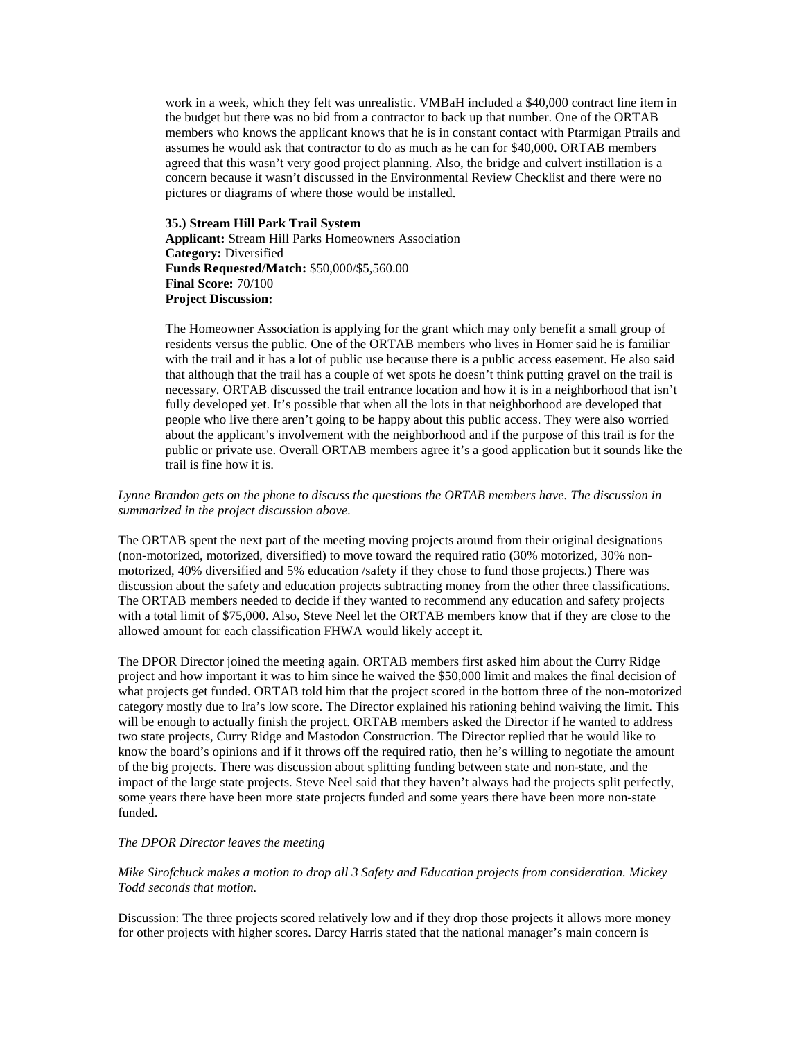work in a week, which they felt was unrealistic. VMBaH included a \$40,000 contract line item in the budget but there was no bid from a contractor to back up that number. One of the ORTAB members who knows the applicant knows that he is in constant contact with Ptarmigan Ptrails and assumes he would ask that contractor to do as much as he can for \$40,000. ORTAB members agreed that this wasn't very good project planning. Also, the bridge and culvert instillation is a concern because it wasn't discussed in the Environmental Review Checklist and there were no pictures or diagrams of where those would be installed.

**35.) Stream Hill Park Trail System Applicant:** Stream Hill Parks Homeowners Association **Category:** Diversified **Funds Requested/Match:** \$50,000/\$5,560.00 **Final Score:** 70/100 **Project Discussion:** 

The Homeowner Association is applying for the grant which may only benefit a small group of residents versus the public. One of the ORTAB members who lives in Homer said he is familiar with the trail and it has a lot of public use because there is a public access easement. He also said that although that the trail has a couple of wet spots he doesn't think putting gravel on the trail is necessary. ORTAB discussed the trail entrance location and how it is in a neighborhood that isn't fully developed yet. It's possible that when all the lots in that neighborhood are developed that people who live there aren't going to be happy about this public access. They were also worried about the applicant's involvement with the neighborhood and if the purpose of this trail is for the public or private use. Overall ORTAB members agree it's a good application but it sounds like the trail is fine how it is.

## *Lynne Brandon gets on the phone to discuss the questions the ORTAB members have. The discussion in summarized in the project discussion above.*

The ORTAB spent the next part of the meeting moving projects around from their original designations (non-motorized, motorized, diversified) to move toward the required ratio (30% motorized, 30% nonmotorized, 40% diversified and 5% education /safety if they chose to fund those projects.) There was discussion about the safety and education projects subtracting money from the other three classifications. The ORTAB members needed to decide if they wanted to recommend any education and safety projects with a total limit of \$75,000. Also, Steve Neel let the ORTAB members know that if they are close to the allowed amount for each classification FHWA would likely accept it.

The DPOR Director joined the meeting again. ORTAB members first asked him about the Curry Ridge project and how important it was to him since he waived the \$50,000 limit and makes the final decision of what projects get funded. ORTAB told him that the project scored in the bottom three of the non-motorized category mostly due to Ira's low score. The Director explained his rationing behind waiving the limit. This will be enough to actually finish the project. ORTAB members asked the Director if he wanted to address two state projects, Curry Ridge and Mastodon Construction. The Director replied that he would like to know the board's opinions and if it throws off the required ratio, then he's willing to negotiate the amount of the big projects. There was discussion about splitting funding between state and non-state, and the impact of the large state projects. Steve Neel said that they haven't always had the projects split perfectly, some years there have been more state projects funded and some years there have been more non-state funded.

## *The DPOR Director leaves the meeting*

*Mike Sirofchuck makes a motion to drop all 3 Safety and Education projects from consideration. Mickey Todd seconds that motion.*

Discussion: The three projects scored relatively low and if they drop those projects it allows more money for other projects with higher scores. Darcy Harris stated that the national manager's main concern is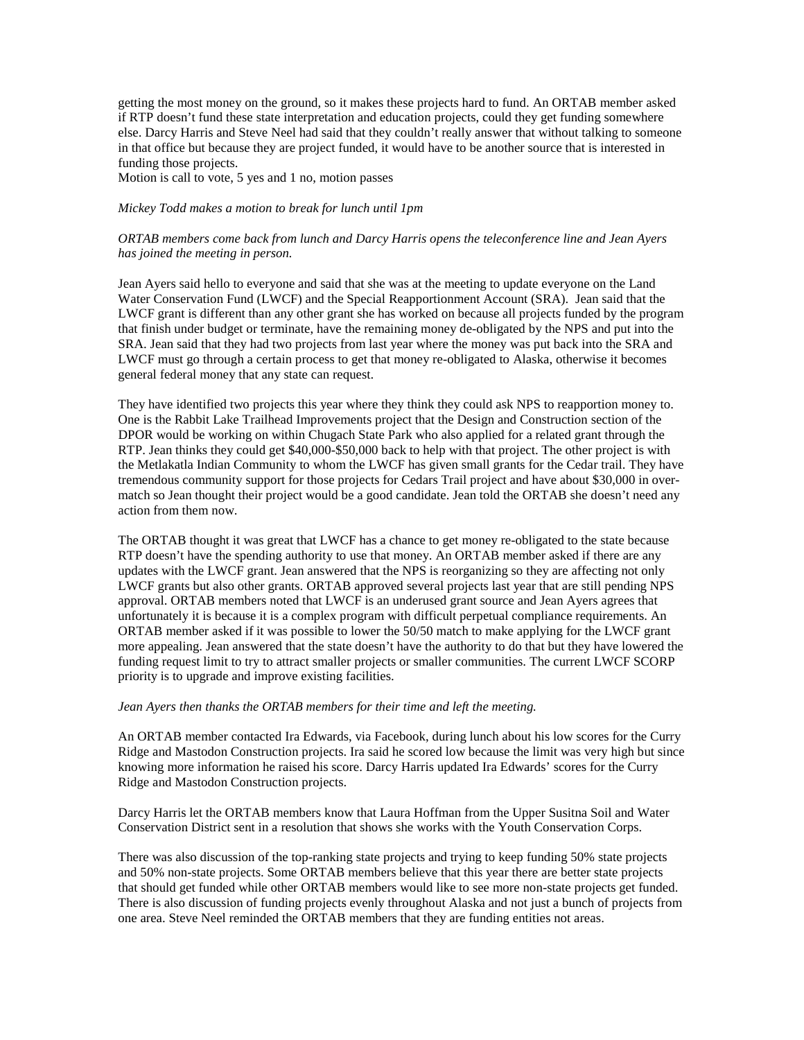getting the most money on the ground, so it makes these projects hard to fund. An ORTAB member asked if RTP doesn't fund these state interpretation and education projects, could they get funding somewhere else. Darcy Harris and Steve Neel had said that they couldn't really answer that without talking to someone in that office but because they are project funded, it would have to be another source that is interested in funding those projects.

Motion is call to vote, 5 yes and 1 no, motion passes

### *Mickey Todd makes a motion to break for lunch until 1pm*

## *ORTAB members come back from lunch and Darcy Harris opens the teleconference line and Jean Ayers has joined the meeting in person.*

Jean Ayers said hello to everyone and said that she was at the meeting to update everyone on the Land Water Conservation Fund (LWCF) and the Special Reapportionment Account (SRA). Jean said that the LWCF grant is different than any other grant she has worked on because all projects funded by the program that finish under budget or terminate, have the remaining money de-obligated by the NPS and put into the SRA. Jean said that they had two projects from last year where the money was put back into the SRA and LWCF must go through a certain process to get that money re-obligated to Alaska, otherwise it becomes general federal money that any state can request.

They have identified two projects this year where they think they could ask NPS to reapportion money to. One is the Rabbit Lake Trailhead Improvements project that the Design and Construction section of the DPOR would be working on within Chugach State Park who also applied for a related grant through the RTP. Jean thinks they could get \$40,000-\$50,000 back to help with that project. The other project is with the Metlakatla Indian Community to whom the LWCF has given small grants for the Cedar trail. They have tremendous community support for those projects for Cedars Trail project and have about \$30,000 in overmatch so Jean thought their project would be a good candidate. Jean told the ORTAB she doesn't need any action from them now.

The ORTAB thought it was great that LWCF has a chance to get money re-obligated to the state because RTP doesn't have the spending authority to use that money. An ORTAB member asked if there are any updates with the LWCF grant. Jean answered that the NPS is reorganizing so they are affecting not only LWCF grants but also other grants. ORTAB approved several projects last year that are still pending NPS approval. ORTAB members noted that LWCF is an underused grant source and Jean Ayers agrees that unfortunately it is because it is a complex program with difficult perpetual compliance requirements. An ORTAB member asked if it was possible to lower the 50/50 match to make applying for the LWCF grant more appealing. Jean answered that the state doesn't have the authority to do that but they have lowered the funding request limit to try to attract smaller projects or smaller communities. The current LWCF SCORP priority is to upgrade and improve existing facilities.

#### *Jean Ayers then thanks the ORTAB members for their time and left the meeting.*

An ORTAB member contacted Ira Edwards, via Facebook, during lunch about his low scores for the Curry Ridge and Mastodon Construction projects. Ira said he scored low because the limit was very high but since knowing more information he raised his score. Darcy Harris updated Ira Edwards' scores for the Curry Ridge and Mastodon Construction projects.

Darcy Harris let the ORTAB members know that Laura Hoffman from the Upper Susitna Soil and Water Conservation District sent in a resolution that shows she works with the Youth Conservation Corps.

There was also discussion of the top-ranking state projects and trying to keep funding 50% state projects and 50% non-state projects. Some ORTAB members believe that this year there are better state projects that should get funded while other ORTAB members would like to see more non-state projects get funded. There is also discussion of funding projects evenly throughout Alaska and not just a bunch of projects from one area. Steve Neel reminded the ORTAB members that they are funding entities not areas.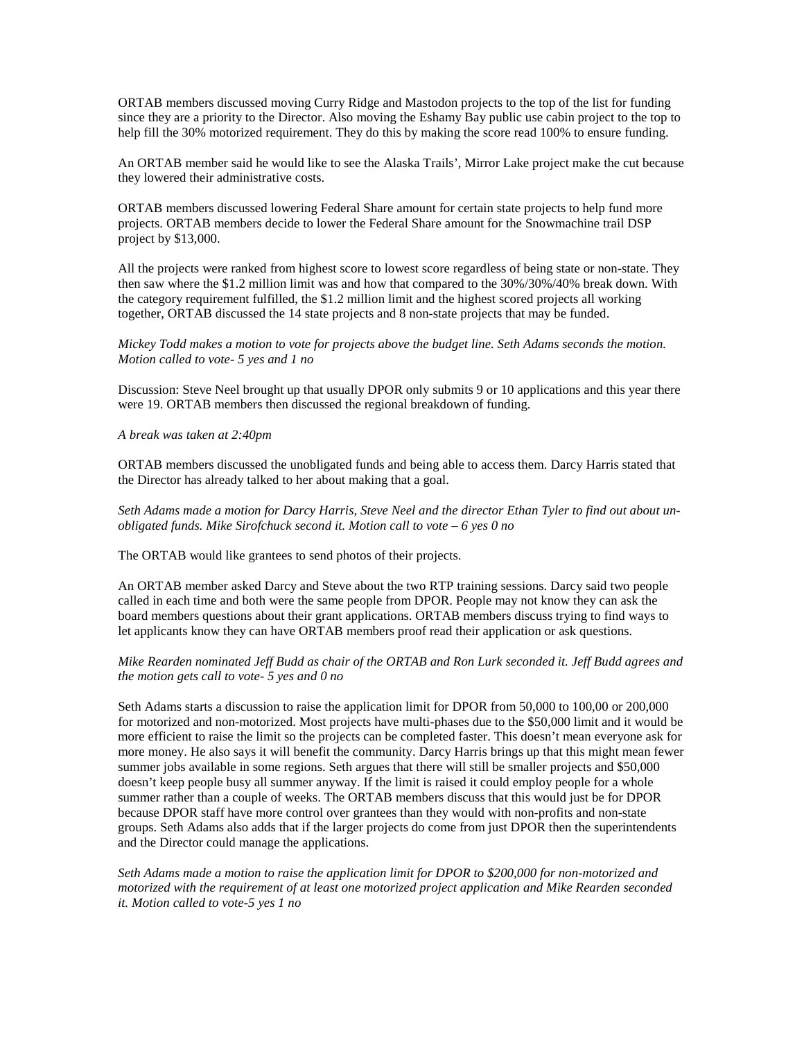ORTAB members discussed moving Curry Ridge and Mastodon projects to the top of the list for funding since they are a priority to the Director. Also moving the Eshamy Bay public use cabin project to the top to help fill the 30% motorized requirement. They do this by making the score read 100% to ensure funding.

An ORTAB member said he would like to see the Alaska Trails', Mirror Lake project make the cut because they lowered their administrative costs.

ORTAB members discussed lowering Federal Share amount for certain state projects to help fund more projects. ORTAB members decide to lower the Federal Share amount for the Snowmachine trail DSP project by \$13,000.

All the projects were ranked from highest score to lowest score regardless of being state or non-state. They then saw where the \$1.2 million limit was and how that compared to the 30%/30%/40% break down. With the category requirement fulfilled, the \$1.2 million limit and the highest scored projects all working together, ORTAB discussed the 14 state projects and 8 non-state projects that may be funded.

## *Mickey Todd makes a motion to vote for projects above the budget line. Seth Adams seconds the motion. Motion called to vote- 5 yes and 1 no*

Discussion: Steve Neel brought up that usually DPOR only submits 9 or 10 applications and this year there were 19. ORTAB members then discussed the regional breakdown of funding.

### *A break was taken at 2:40pm*

ORTAB members discussed the unobligated funds and being able to access them. Darcy Harris stated that the Director has already talked to her about making that a goal.

*Seth Adams made a motion for Darcy Harris, Steve Neel and the director Ethan Tyler to find out about unobligated funds. Mike Sirofchuck second it. Motion call to vote – 6 yes 0 no*

The ORTAB would like grantees to send photos of their projects.

An ORTAB member asked Darcy and Steve about the two RTP training sessions. Darcy said two people called in each time and both were the same people from DPOR. People may not know they can ask the board members questions about their grant applications. ORTAB members discuss trying to find ways to let applicants know they can have ORTAB members proof read their application or ask questions.

## *Mike Rearden nominated Jeff Budd as chair of the ORTAB and Ron Lurk seconded it. Jeff Budd agrees and the motion gets call to vote- 5 yes and 0 no*

Seth Adams starts a discussion to raise the application limit for DPOR from 50,000 to 100,00 or 200,000 for motorized and non-motorized. Most projects have multi-phases due to the \$50,000 limit and it would be more efficient to raise the limit so the projects can be completed faster. This doesn't mean everyone ask for more money. He also says it will benefit the community. Darcy Harris brings up that this might mean fewer summer jobs available in some regions. Seth argues that there will still be smaller projects and \$50,000 doesn't keep people busy all summer anyway. If the limit is raised it could employ people for a whole summer rather than a couple of weeks. The ORTAB members discuss that this would just be for DPOR because DPOR staff have more control over grantees than they would with non-profits and non-state groups. Seth Adams also adds that if the larger projects do come from just DPOR then the superintendents and the Director could manage the applications.

*Seth Adams made a motion to raise the application limit for DPOR to \$200,000 for non-motorized and motorized with the requirement of at least one motorized project application and Mike Rearden seconded it. Motion called to vote-5 yes 1 no*